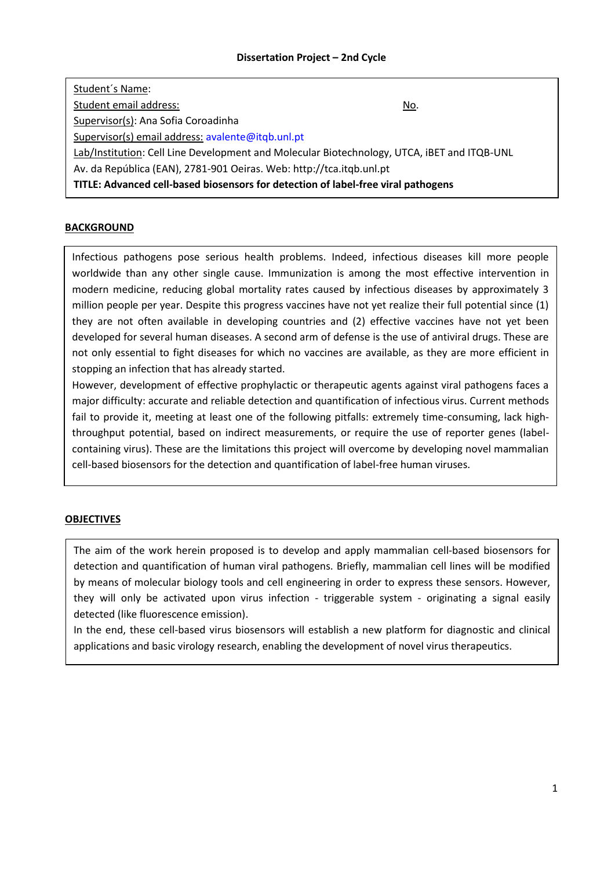# **Dissertation Project – 2nd Cycle**

| Student's Name:                                                                             |     |  |  |  |  |  |  |
|---------------------------------------------------------------------------------------------|-----|--|--|--|--|--|--|
| Student email address:                                                                      | No. |  |  |  |  |  |  |
| Supervisor(s): Ana Sofia Coroadinha                                                         |     |  |  |  |  |  |  |
| Supervisor(s) email address: avalente@itqb.unl.pt                                           |     |  |  |  |  |  |  |
| Lab/Institution: Cell Line Development and Molecular Biotechnology, UTCA, iBET and ITQB-UNL |     |  |  |  |  |  |  |
| Av. da República (EAN), 2781-901 Oeiras. Web: http://tca.itqb.unl.pt                        |     |  |  |  |  |  |  |
| TITLE: Advanced cell-based biosensors for detection of label-free viral pathogens           |     |  |  |  |  |  |  |

## **BACKGROUND**

Infectious pathogens pose serious health problems. Indeed, infectious diseases kill more people worldwide than any other single cause. Immunization is among the most effective intervention in modern medicine, reducing global mortality rates caused by infectious diseases by approximately 3 million people per year. Despite this progress vaccines have not yet realize their full potential since (1) they are not often available in developing countries and (2) effective vaccines have not yet been developed for several human diseases. A second arm of defense is the use of antiviral drugs. These are not only essential to fight diseases for which no vaccines are available, as they are more efficient in stopping an infection that has already started.

However, development of effective prophylactic or therapeutic agents against viral pathogens faces a major difficulty: accurate and reliable detection and quantification of infectious virus. Current methods fail to provide it, meeting at least one of the following pitfalls: extremely time-consuming, lack highthroughput potential, based on indirect measurements, or require the use of reporter genes (labelcontaining virus). These are the limitations this project will overcome by developing novel mammalian cell-based biosensors for the detection and quantification of label-free human viruses.

## **OBJECTIVES**

The aim of the work herein proposed is to develop and apply mammalian cell-based biosensors for detection and quantification of human viral pathogens. Briefly, mammalian cell lines will be modified by means of molecular biology tools and cell engineering in order to express these sensors. However, they will only be activated upon virus infection - triggerable system - originating a signal easily detected (like fluorescence emission).

In the end, these cell-based virus biosensors will establish a new platform for diagnostic and clinical applications and basic virology research, enabling the development of novel virus therapeutics.